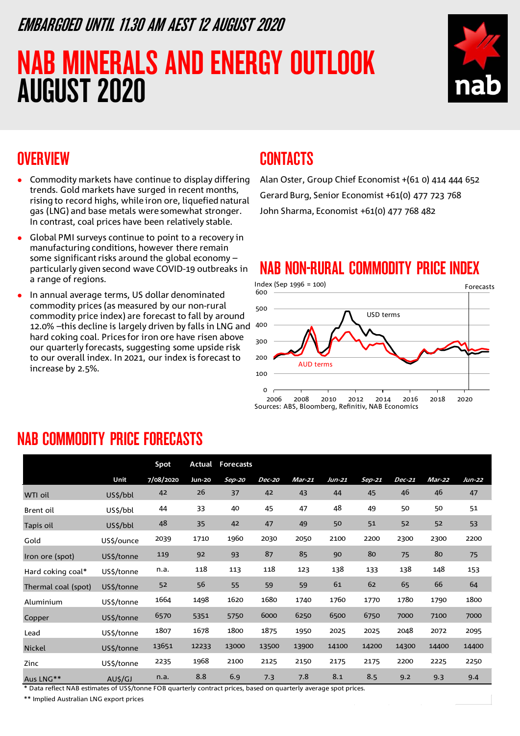### EMBARGOED UNTIL 11.30 AM AEST 12 AUGUST 2020

# NAB MINERALS AND ENERGY OUTLOOK AUGUST 2020



### **OVERVIEW**

- Commodity markets have continue to display differing trends. Gold markets have surged in recent months, rising to record highs, while iron ore, liquefied natural gas (LNG) and base metals were somewhat stronger. In contrast, coal prices have been relatively stable.
- Global PMI surveys continue to point to a recovery in manufacturing conditions, however there remain some significant risks around the global economy  $$ particularly given second wave COVID-19 outbreaks in a range of regions.
- In annual average terms, US dollar denominated commodity prices (as measured by our non-rural commodity price index) are forecast to fall by around 12.0% - this decline is largely driven by falls in LNG and 400 hard coking coal. Prices for iron ore have risen above our quarterly forecasts, suggesting some upside risk to our overall index. In 2021, our index is forecast to increase by 2.5%.

### **CONTACTS**

Alan Oster, Group Chief Economist +(61 0) 414 444 652 Gerard Burg, Senior Economist +61(0) 477 723 768 John Sharma, Economist +61(0) 477 768 482

### NAB NON-RURAL COMMODITY PRICE INDEX



### NAB COMMODITY PRICE FORECASTS

|                                                     |            | Spot      | Actual        | <b>Forecasts</b>                                                                             |               |          |          |        |          |          |        |
|-----------------------------------------------------|------------|-----------|---------------|----------------------------------------------------------------------------------------------|---------------|----------|----------|--------|----------|----------|--------|
|                                                     | Unit       | 7/08/2020 | <b>Jun-20</b> | Sep-20                                                                                       | <b>Dec-20</b> | $Mar-21$ | $Jun-21$ | Sep-21 | $Dec-21$ | $Mar-22$ | Jun-22 |
| WTI oil                                             | US\$/bbl   | 42        | 26            | 37                                                                                           | 42            | 43       | 44       | 45     | 46       | 46       | 47     |
| Brent oil                                           | US\$/bbl   | 44        | 33            | 40                                                                                           | 45            | 47       | 48       | 49     | 50       | 50       | 51     |
| Tapis oil                                           | US\$/bbl   | 48        | 35            | 42                                                                                           | 47            | 49       | 50       | 51     | 52       | 52       | 53     |
| Gold                                                | US\$/ounce | 2039      | 1710          | 1960                                                                                         | 2030          | 2050     | 2100     | 2200   | 2300     | 2300     | 2200   |
| Iron ore (spot)                                     | US\$/tonne | 119       | 92            | 93                                                                                           | 87            | 85       | 90       | 80     | 75       | 80       | 75     |
| Hard coking coal*                                   | US\$/tonne | n.a.      | 118           | 113                                                                                          | 118           | 123      | 138      | 133    | 138      | 148      | 153    |
| Thermal coal (spot)                                 | US\$/tonne | 52        | 56            | 55                                                                                           | 59            | 59       | 61       | 62     | 65       | 66       | 64     |
| Aluminium                                           | US\$/tonne | 1664      | 1498          | 1620                                                                                         | 1680          | 1740     | 1760     | 1770   | 1780     | 1790     | 1800   |
| Copper                                              | US\$/tonne | 6570      | 5351          | 5750                                                                                         | 6000          | 6250     | 6500     | 6750   | 7000     | 7100     | 7000   |
| Lead                                                | US\$/tonne | 1807      | 1678          | 1800                                                                                         | 1875          | 1950     | 2025     | 2025   | 2048     | 2072     | 2095   |
| Nickel                                              | US\$/tonne | 13651     | 12233         | 13000                                                                                        | 13500         | 13900    | 14100    | 14200  | 14300    | 14400    | 14400  |
| Zinc                                                | US\$/tonne | 2235      | 1968          | 2100                                                                                         | 2125          | 2150     | 2175     | 2175   | 2200     | 2225     | 2250   |
| Aus LNG**<br>$*$ Detailed MAD estimates of HCC/kans | AU\$/GJ    | n.a.      | 8.8           | 6.9<br>FOR consideration and the state of the seal and consideration and called an advantage | 7.3           | 7.8      | 8.1      | 8.5    | 9.2      | 9.3      | 9.4    |

Data reflect NAB estimates of US\$/tonne FOB quarterly contract prices, based on quarterly average spot prices.

\*\* Implied Australian LNG export prices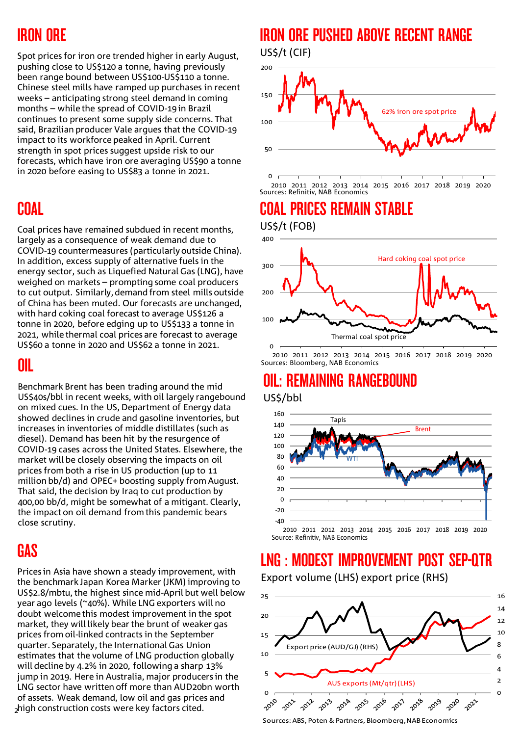# IRON ORE

Spot prices for iron ore trended higher in early August, pushing close to US\$120 a tonne, having previously been range bound between US\$100-US\$110 a tonne. Chinese steel mills have ramped up purchases in recent weeks – anticipating strong steel demand in coming months – while the spread of COVID-19 in Brazil continues to present some supply side concerns. That said, Brazilian producer Vale argues that the COVID-19 impact to its workforce peaked in April. Current strength in spot prices suggest upside risk to our forecasts, which have iron ore averaging US\$90 a tonne in 2020 before easing to US\$83 a tonne in 2021.

# **COAL**

Coal prices have remained subdued in recent months, largely as a consequence of weak demand due to COVID-19 countermeasures (particularly outside China). In addition, excess supply of alternative fuels in the energy sector, such as Liquefied Natural Gas (LNG), have weighed on markets – prompting some coal producers to cut output. Similarly, demand from steel mills outside of China has been muted. Our forecasts are unchanged, with hard coking coal forecast to average US\$126 a tonne in 2020, before edging up to US\$133 a tonne in 2021, while thermal coal prices are forecast to average US\$60 a tonne in 2020 and US\$62 a tonne in 2021.

### OIL

Benchmark Brent has been trading around the mid US\$40s/bbl in recent weeks, with oil largely rangebound on mixed cues. In the US, Department of Energy data showed declines in crude and gasoline inventories, but increases in inventories of middle distillates (such as diesel). Demand has been hit by the resurgence of COVID-19 cases across the United States. Elsewhere, the market will be closely observing the impacts on oil prices from both a rise in US production (up to 11 million bb/d) and OPEC+ boosting supply from August. That said, the decision by Iraq to cut production by 400,00 bb/d, might be somewhat of a mitigant. Clearly, the impact on oil demand from this pandemic bears close scrutiny.

### GAS

2 high construction costs were key factors cited. Prices in Asia have shown a steady improvement, with the benchmark Japan Korea Marker (JKM) improving to US\$2.8/mbtu, the highest since mid-April but well below year ago levels (~40%). While LNG exporters will no doubt welcome this modest improvement in the spot market, they will likely bear the brunt of weaker gas prices from oil-linked contracts in the September quarter. Separately, the International Gas Union estimates that the volume of LNG production globally will decline by 4.2% in 2020, following a sharp 13% jump in 2019. Here in Australia, major producers in the LNG sector have written off more than AUD20bn worth of assets. Weak demand, low oil and gas prices and

### IRON ORE PUSHED ABOVE RECENT RANGE US\$/t (CIF)



 $\Omega$ 2010 2011 2012 2013 2014 2015 2016 2017 2018 2019 2020 Sources: Refinitiv, NAB Economics

# COAL PRICES REMAIN STABLE

US\$/t (FOB)



2010 2011 2012 2013 2014 2015 2016 2017 2018 2019 2020 Sources: Bloomberg, NAB Economics

### OIL: REMAINING RANGEBOUND US\$/bbl



Source: Refinitiv, NAB Economics

# LNG : MODEST IMPROVEMENT POST SEP-QTR

Export volume (LHS) export price (RHS)



Sources: ABS, Poten & Partners, Bloomberg, NAB Economics